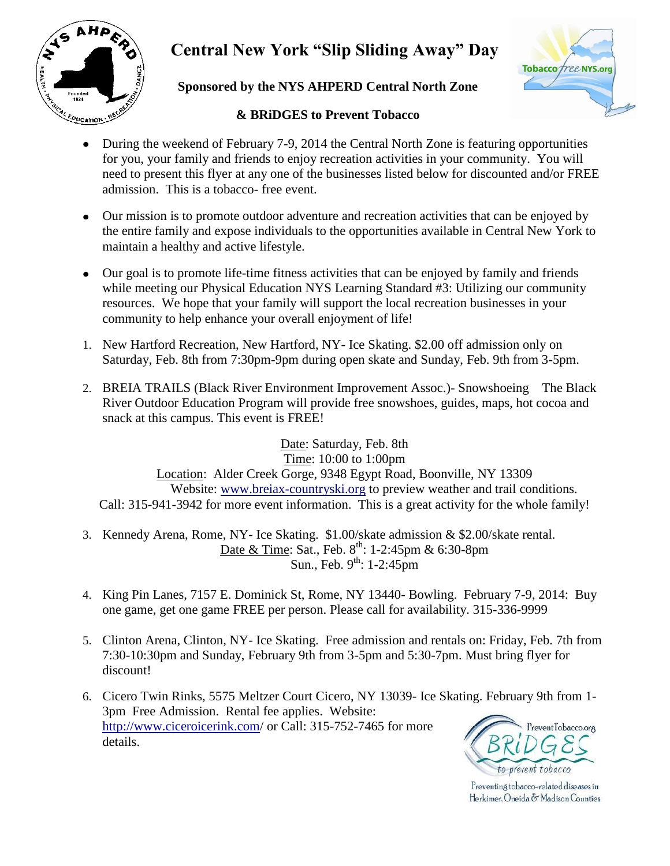

# **Central New York "Slip Sliding Away" Day**





#### **& BRiDGES to Prevent Tobacco**

- During the weekend of February 7-9, 2014 the Central North Zone is featuring opportunities  $\bullet$ for you, your family and friends to enjoy recreation activities in your community. You will need to present this flyer at any one of the businesses listed below for discounted and/or FREE admission. This is a tobacco- free event.
- Our mission is to promote outdoor adventure and recreation activities that can be enjoyed by the entire family and expose individuals to the opportunities available in Central New York to maintain a healthy and active lifestyle.
- Our goal is to promote life-time fitness activities that can be enjoyed by family and friends while meeting our Physical Education NYS Learning Standard #3: Utilizing our community resources. We hope that your family will support the local recreation businesses in your community to help enhance your overall enjoyment of life!
- 1. New Hartford Recreation, New Hartford, NY- Ice Skating. \$2.00 off admission only on Saturday, Feb. 8th from 7:30pm-9pm during open skate and Sunday, Feb. 9th from 3-5pm.
- 2. BREIA TRAILS (Black River Environment Improvement Assoc.)- Snowshoeing The Black River Outdoor Education Program will provide free snowshoes, guides, maps, hot cocoa and snack at this campus. This event is FREE!

Date: Saturday, Feb. 8th Time: 10:00 to 1:00pm Location: Alder Creek Gorge, 9348 Egypt Road, Boonville, NY 13309 Website: [www.breiax-countryski.org](http://www.breiax-countryski.org/) to preview weather and trail conditions. Call: 315-941-3942 for more event information. This is a great activity for the whole family!

- 3. Kennedy Arena, Rome, NY- Ice Skating. \$1.00/skate admission & \$2.00/skate rental. Date & Time: Sat., Feb. 8<sup>th</sup>: 1-2:45pm & 6:30-8pm Sun., Feb.  $9^{th}$ : 1-2:45pm
- 4. King Pin Lanes, 7157 E. Dominick St, Rome, NY 13440- Bowling. February 7-9, 2014: Buy one game, get one game FREE per person. Please call for availability. 315-336-9999
- 5. Clinton Arena, Clinton, NY- Ice Skating. Free admission and rentals on: Friday, Feb. 7th from 7:30-10:30pm and Sunday, February 9th from 3-5pm and 5:30-7pm. Must bring flyer for discount!
- 6. Cicero Twin Rinks, 5575 Meltzer Court Cicero, NY 13039- Ice Skating. February 9th from 1- 3pm Free Admission. Rental fee applies. Website: <http://www.ciceroicerink.com/> or Call: 315-752-7465 for more PreventTobacco.org details.



Preventing tobacco-related diseases in Herkimer, Oneida & Madison Counties